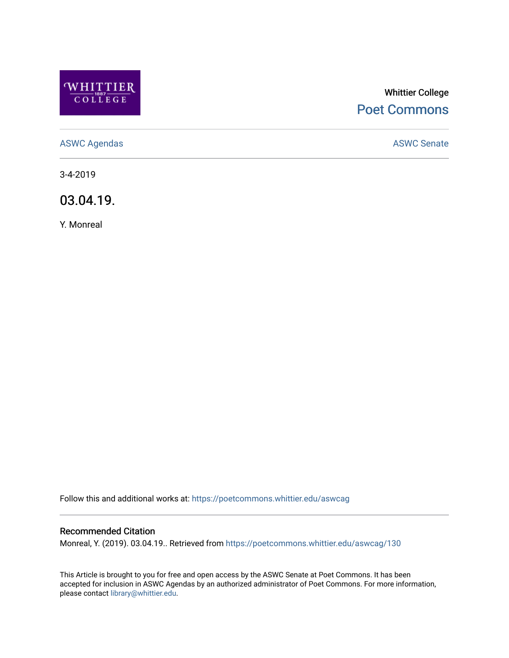

# Whittier College [Poet Commons](https://poetcommons.whittier.edu/)

[ASWC Agendas](https://poetcommons.whittier.edu/aswcag) **ASWC Senate** 

3-4-2019

03.04.19.

Y. Monreal

Follow this and additional works at: [https://poetcommons.whittier.edu/aswcag](https://poetcommons.whittier.edu/aswcag?utm_source=poetcommons.whittier.edu%2Faswcag%2F130&utm_medium=PDF&utm_campaign=PDFCoverPages) 

## Recommended Citation

Monreal, Y. (2019). 03.04.19.. Retrieved from [https://poetcommons.whittier.edu/aswcag/130](https://poetcommons.whittier.edu/aswcag/130?utm_source=poetcommons.whittier.edu%2Faswcag%2F130&utm_medium=PDF&utm_campaign=PDFCoverPages) 

This Article is brought to you for free and open access by the ASWC Senate at Poet Commons. It has been accepted for inclusion in ASWC Agendas by an authorized administrator of Poet Commons. For more information, please contact [library@whittier.edu](mailto:library@whittier.edu).